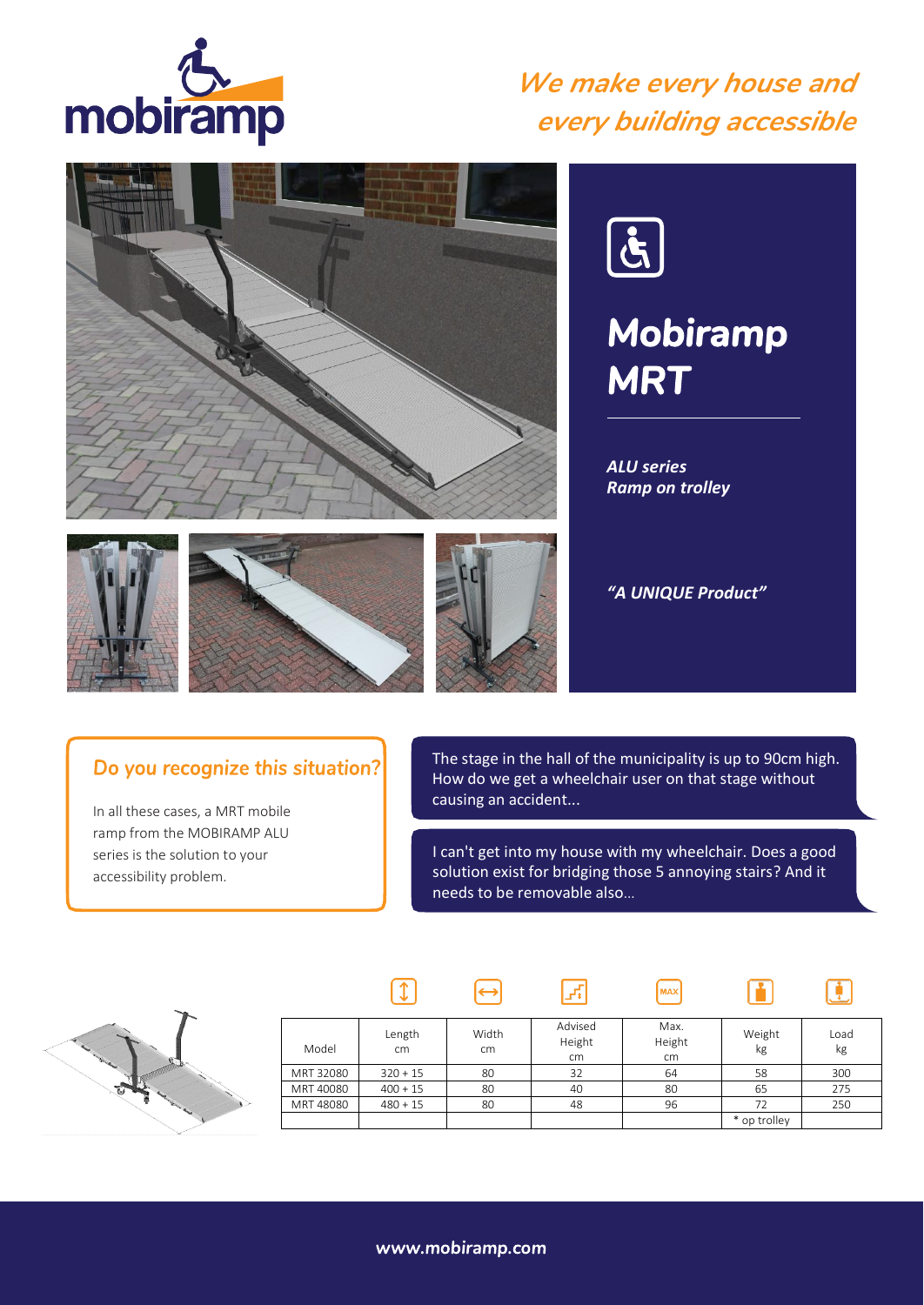

### *We make every house and every building accessible*





# *Mobiramp MRT*

*ALU series Ramp on trolley*







 $\Theta$ 

*"A UNIQUE Product"*

#### Do you recognize this situation?

In all these cases, a MRT mobile ramp from the MOBIRAMP ALU series is the solution to your accessibility problem.

The stage in the hall of the municipality is up to 90cm high. How do we get a wheelchair user on that stage without causing an accident...

I can't get into my house with my wheelchair. Does a good solution exist for bridging those 5 annoying stairs? And it needs to be removable also…

**MAX** 

m

 $\mathbf{G}$ 



| Model     | Length<br>cm | Width<br>cm | Advised<br>Height<br>cm | Max.<br>Height<br>cm | Weight<br>kg | Load<br>kg |
|-----------|--------------|-------------|-------------------------|----------------------|--------------|------------|
| MRT 32080 | $320 + 15$   | 80          | 32                      | 64                   | 58           | 300        |
| MRT 40080 | $400 + 15$   | 80          | 40                      | 80                   | 65           | 275        |
| MRT 48080 | $480 + 15$   | 80          | 48                      | 96                   | 72           | 250        |
|           |              |             |                         |                      | * op trolley |            |

 $\sqrt{1 + \frac{1}{2}}$ 

 $\sqrt{1}$